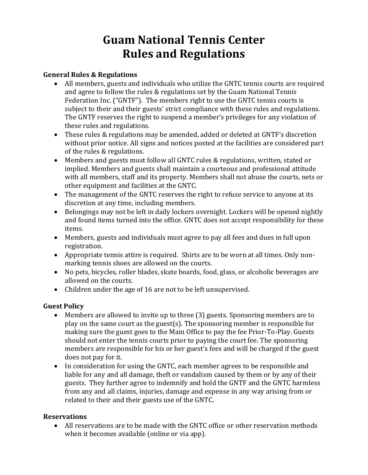# **Guam National Tennis Center Rules and Regulations**

## **General Rules & Regulations**

- All members, guests and individuals who utilize the GNTC tennis courts are required and agree to follow the rules & regulations set by the Guam National Tennis Federation Inc. ("GNTF"). The members right to use the GNTC tennis courts is subject to their and their guests' strict compliance with these rules and regulations. The GNTF reserves the right to suspend a member's privileges for any violation of these rules and regulations.
- These rules & regulations may be amended, added or deleted at GNTF's discretion without prior notice. All signs and notices posted at the facilities are considered part of the rules & regulations.
- Members and guests must follow all GNTC rules & regulations, written, stated or implied. Members and guests shall maintain a courteous and professional attitude with all members, staff and its property. Members shall not abuse the courts, nets or other equipment and facilities at the GNTC.
- The management of the GNTC reserves the right to refuse service to anyone at its discretion at any time, including members.
- Belongings may not be left in daily lockers overnight. Lockers will be opened nightly and found items turned into the office. GNTC does not accept responsibility for these items.
- Members, guests and individuals must agree to pay all fees and dues in full upon registration.
- Appropriate tennis attire is required. Shirts are to be worn at all times. Only nonmarking tennis shoes are allowed on the courts.
- No pets, bicycles, roller blades, skate boards, food, glass, or alcoholic beverages are allowed on the courts.
- Children under the age of 16 are not to be left unsupervised.

## **Guest Policy**

- Members are allowed to invite up to three (3) guests. Sponsoring members are to play on the same court as the guest(s). The sponsoring member is responsible for making sure the guest goes to the Main Office to pay the fee Prior-To-Play. Guests should not enter the tennis courts prior to paying the court fee. The sponsoring members are responsible for his or her guest's fees and will be charged if the guest does not pay for it.
- In consideration for using the GNTC, each member agrees to be responsible and liable for any and all damage, theft or vandalism caused by them or by any of their guests. They further agree to indemnify and hold the GNTF and the GNTC harmless from any and all claims, injuries, damage and expense in any way arising from or related to their and their guests use of the GNTC.

## **Reservations**

• All reservations are to be made with the GNTC office or other reservation methods when it becomes available (online or via app).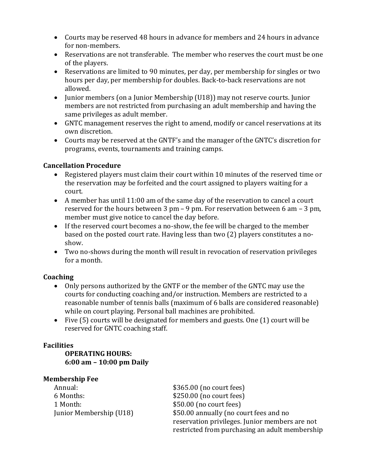- Courts may be reserved 48 hours in advance for members and 24 hours in advance for non-members.
- Reservations are not transferable. The member who reserves the court must be one of the players.
- Reservations are limited to 90 minutes, per day, per membership for singles or two hours per day, per membership for doubles. Back-to-back reservations are not allowed.
- Junior members (on a Junior Membership (U18)) may not reserve courts. Junior members are not restricted from purchasing an adult membership and having the same privileges as adult member.
- GNTC management reserves the right to amend, modify or cancel reservations at its own discretion.
- Courts may be reserved at the GNTF's and the manager of the GNTC's discretion for programs, events, tournaments and training camps.

## **Cancellation Procedure**

- Registered players must claim their court within 10 minutes of the reserved time or the reservation may be forfeited and the court assigned to players waiting for a court.
- A member has until 11:00 am of the same day of the reservation to cancel a court reserved for the hours between 3 pm – 9 pm. For reservation between 6 am – 3 pm, member must give notice to cancel the day before.
- If the reserved court becomes a no-show, the fee will be charged to the member based on the posted court rate. Having less than two (2) players constitutes a noshow.
- Two no-shows during the month will result in revocation of reservation privileges for a month.

## **Coaching**

- Only persons authorized by the GNTF or the member of the GNTC may use the courts for conducting coaching and/or instruction. Members are restricted to a reasonable number of tennis balls (maximum of 6 balls are considered reasonable) while on court playing. Personal ball machines are prohibited.
- Five (5) courts will be designated for members and guests. One (1) court will be reserved for GNTC coaching staff.

## **Facilities**

**OPERATING HOURS: 6:00 am – 10:00 pm Daily**

## **Membership Fee**

| Annual:                 | \$365.00 (no court fees)                       |
|-------------------------|------------------------------------------------|
| 6 Months:               | \$250.00 (no court fees)                       |
| 1 Month:                | $$50.00$ (no court fees)                       |
| Junior Membership (U18) | \$50.00 annually (no court fees and no         |
|                         | reservation privileges. Junior members are not |
|                         | restricted from purchasing an adult membership |